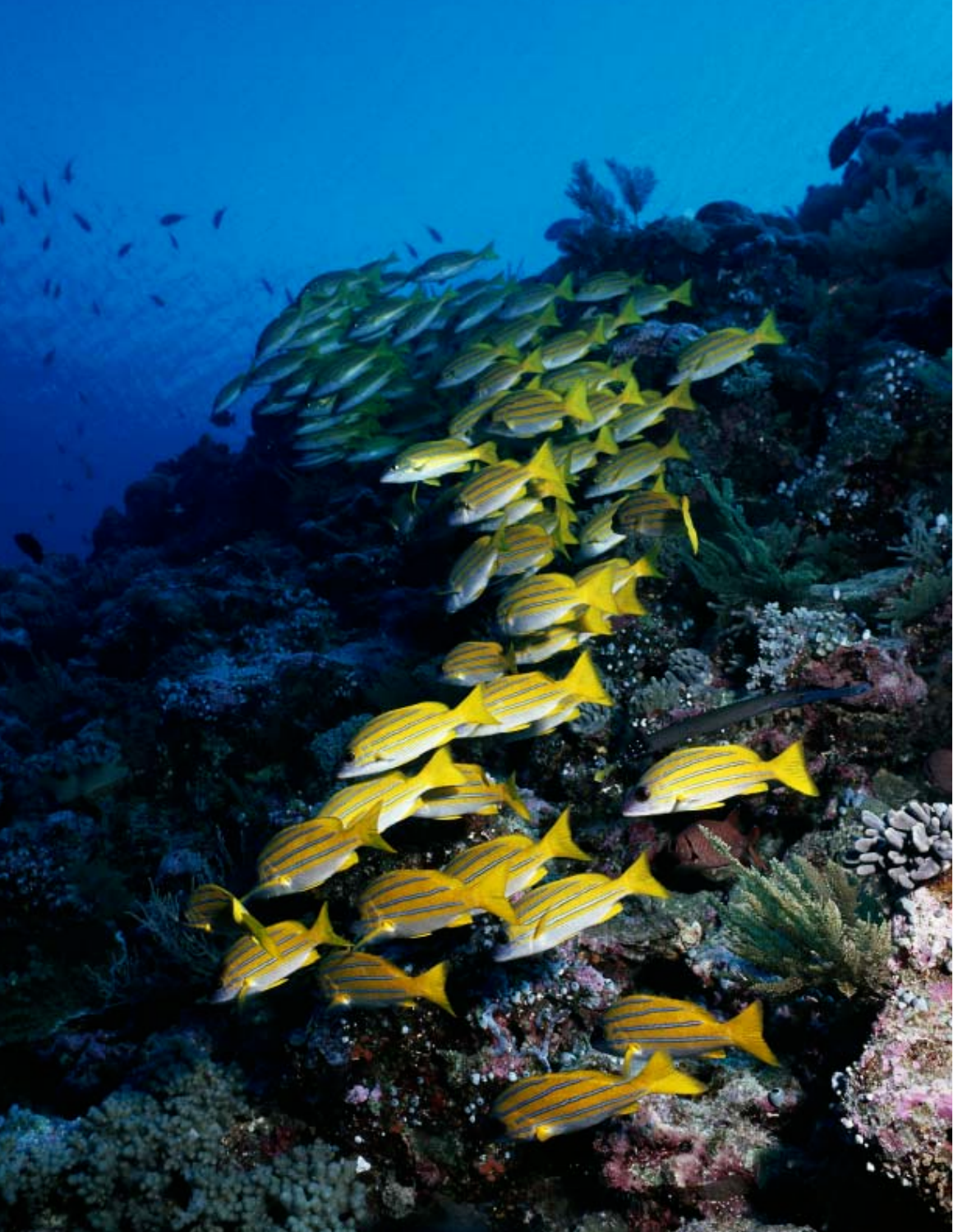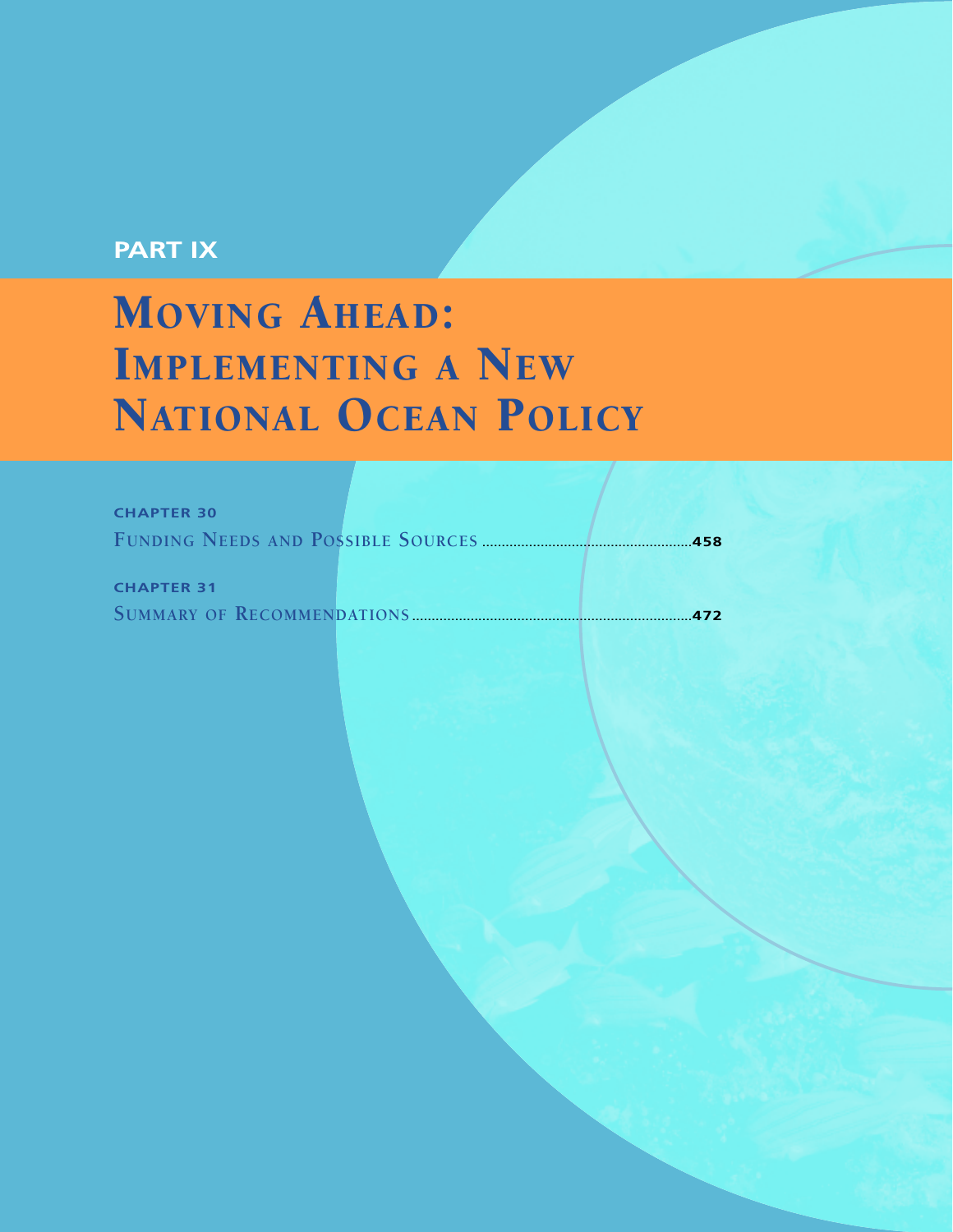## **PART IX**

# MOVING AHEAD: IMPLEMENTING A NEW NATIONAL OCEAN POLICY

| <b>CHAPTER 30</b> |            |
|-------------------|------------|
|                   | .458       |
|                   |            |
| <b>CHAPTER 31</b> |            |
|                   | <b>A72</b> |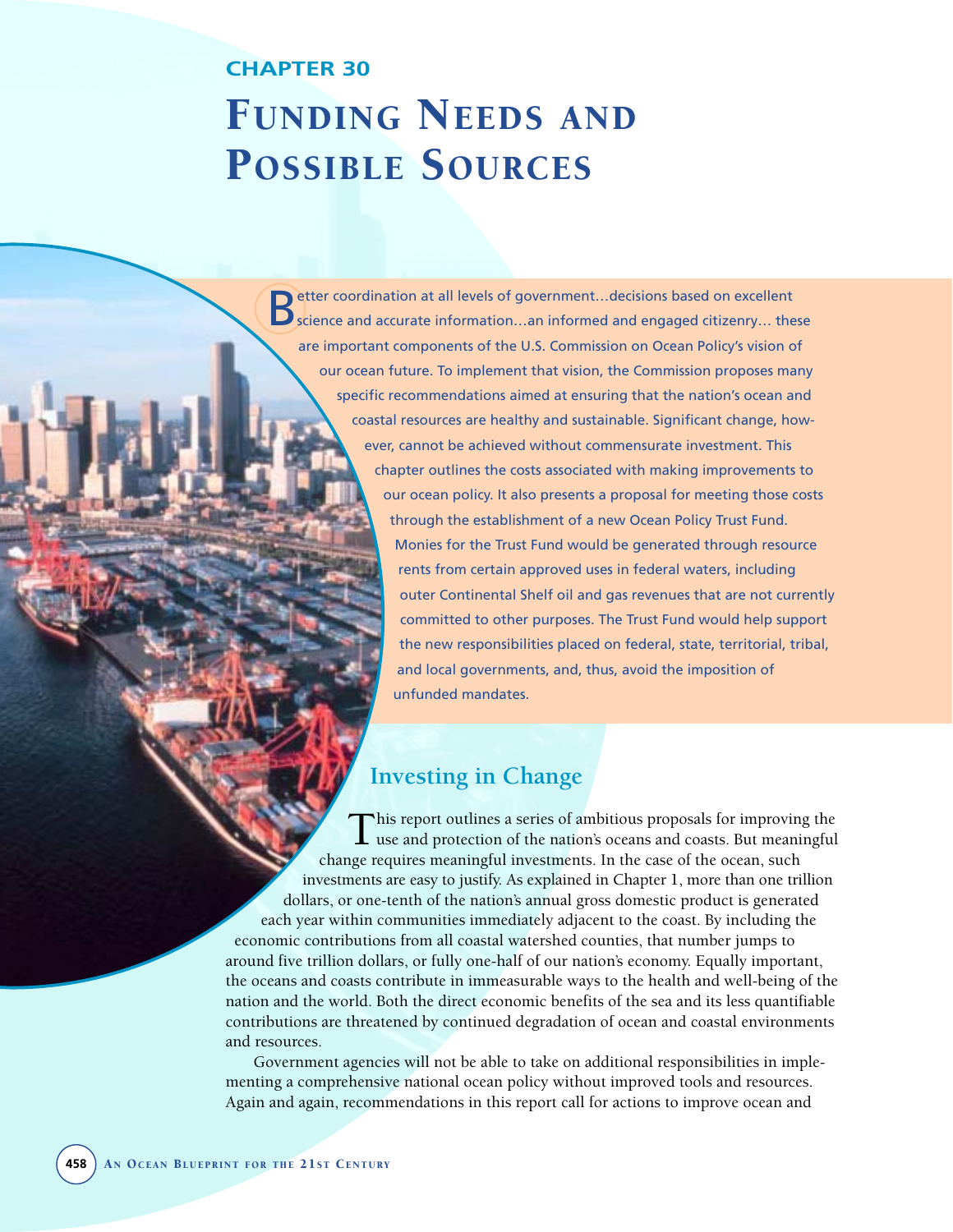## **CHAPTER 30** FUNDING NEEDS AND POSSIBLE SOURCES

Better coordination at all levels of government... decisions based on excellent science and accurate information... an informed and engaged citizenry... these are important components of the U.S. Commission on Ocean Policy's vision of our ocean future. To implement that vision, the Commission proposes many specific recommendations aimed at ensuring that the nation's ocean and coastal resources are healthy and sustainable. Significant change, however, cannot be achieved without commensurate investment. This chapter outlines the costs associated with making improvements to our ocean policy. It also presents a proposal for meeting those costs through the establishment of a new Ocean Policy Trust Fund. Monies for the Trust Fund would be generated through resource rents from certain approved uses in federal waters, including outer Continental Shelf oil and gas revenues that are not currently committed to other purposes. The Trust Fund would help support the new responsibilities placed on federal, state, territorial, tribal, and local governments, and, thus, avoid the imposition of unfunded mandates.

## **Investing in Change**

This report outlines a series of ambitious proposals for improving the use and protection of the nation's oceans and coasts. But meaningful change requires meaningful investments. In the case of the ocean, such investments are easy to justify. As explained in Chapter 1, more than one trillion dollars, or one-tenth of the nation's annual gross domestic product is generated each year within communities immediately adjacent to the coast. By including the economic contributions from all coastal watershed counties, that number jumps to around five trillion dollars, or fully one-half of our nation's economy. Equally important, the oceans and coasts contribute in immeasurable ways to the health and well-being of the nation and the world. Both the direct economic benefits of the sea and its less quantifiable contributions are threatened by continued degradation of ocean and coastal environments and resources.

Government agencies will not be able to take on additional responsibilities in implementing a comprehensive national ocean policy without improved tools and resources. Again and again, recommendations in this report call for actions to improve ocean and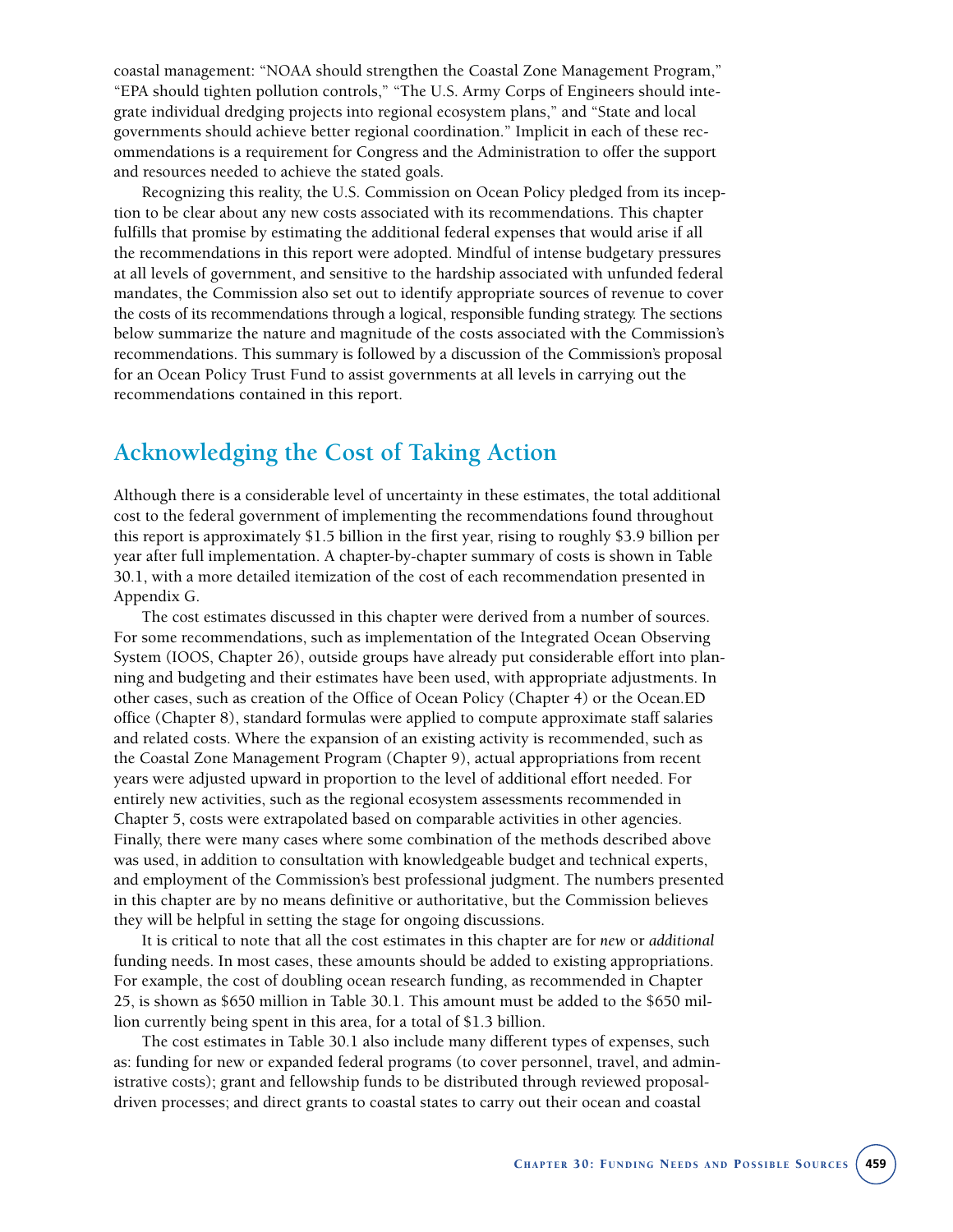coastal management: "NOAA should strengthen the Coastal Zone Management Program," "EPA should tighten pollution controls," "The U.S. Army Corps of Engineers should integrate individual dredging projects into regional ecosystem plans," and "State and local governments should achieve better regional coordination." Implicit in each of these recommendations is a requirement for Congress and the Administration to offer the support and resources needed to achieve the stated goals.

Recognizing this reality, the U.S. Commission on Ocean Policy pledged from its inception to be clear about any new costs associated with its recommendations. This chapter fulfills that promise by estimating the additional federal expenses that would arise if all the recommendations in this report were adopted. Mindful of intense budgetary pressures at all levels of government, and sensitive to the hardship associated with unfunded federal mandates, the Commission also set out to identify appropriate sources of revenue to cover the costs of its recommendations through a logical, responsible funding strategy. The sections below summarize the nature and magnitude of the costs associated with the Commission's recommendations. This summary is followed by a discussion of the Commission's proposal for an Ocean Policy Trust Fund to assist governments at all levels in carrying out the recommendations contained in this report.

## **Acknowledging the Cost of Taking Action**

Although there is a considerable level of uncertainty in these estimates, the total additional cost to the federal government of implementing the recommendations found throughout this report is approximately \$1.5 billion in the first year, rising to roughly \$3.9 billion per year after full implementation. A chapter-by-chapter summary of costs is shown in Table 30.1, with a more detailed itemization of the cost of each recommendation presented in Appendix G.

The cost estimates discussed in this chapter were derived from a number of sources. For some recommendations, such as implementation of the Integrated Ocean Observing System (IOOS, Chapter 26), outside groups have already put considerable effort into planning and budgeting and their estimates have been used, with appropriate adjustments. In other cases, such as creation of the Office of Ocean Policy (Chapter 4) or the Ocean.ED office (Chapter 8), standard formulas were applied to compute approximate staff salaries and related costs. Where the expansion of an existing activity is recommended, such as the Coastal Zone Management Program (Chapter 9), actual appropriations from recent years were adjusted upward in proportion to the level of additional effort needed. For entirely new activities, such as the regional ecosystem assessments recommended in Chapter 5, costs were extrapolated based on comparable activities in other agencies. Finally, there were many cases where some combination of the methods described above was used, in addition to consultation with knowledgeable budget and technical experts, and employment of the Commission's best professional judgment. The numbers presented in this chapter are by no means definitive or authoritative, but the Commission believes they will be helpful in setting the stage for ongoing discussions.

It is critical to note that all the cost estimates in this chapter are for *new* or *additional* funding needs. In most cases, these amounts should be added to existing appropriations. For example, the cost of doubling ocean research funding, as recommended in Chapter 25, is shown as \$650 million in Table 30.1. This amount must be added to the \$650 million currently being spent in this area, for a total of \$1.3 billion.

The cost estimates in Table 30.1 also include many different types of expenses, such as: funding for new or expanded federal programs (to cover personnel, travel, and administrative costs); grant and fellowship funds to be distributed through reviewed proposaldriven processes; and direct grants to coastal states to carry out their ocean and coastal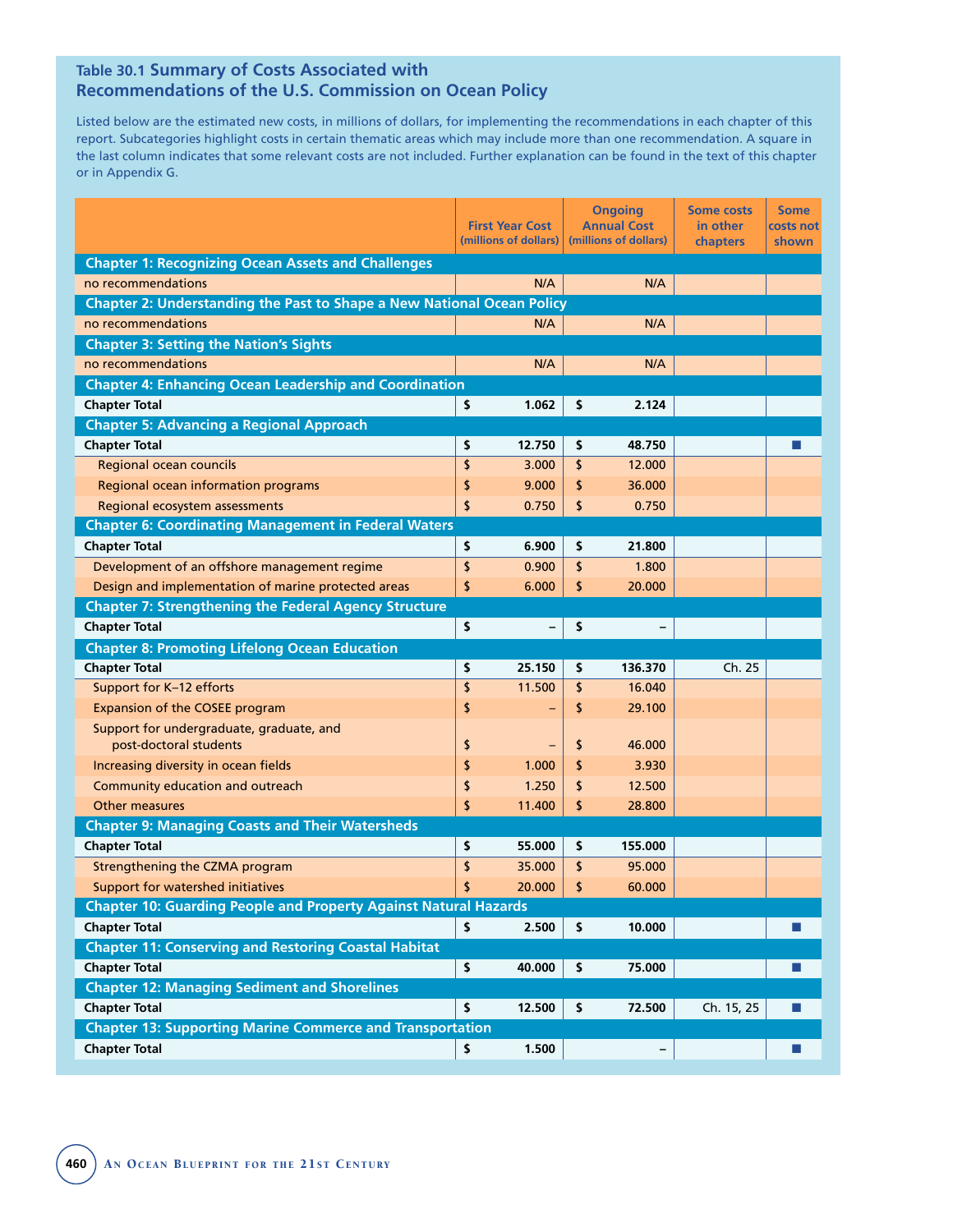#### **Table 30.1 Summary of Costs Associated with Recommendations of the U.S. Commission on Ocean Policy**

Listed below are the estimated new costs, in millions of dollars, for implementing the recommendations in each chapter of this report. Subcategories highlight costs in certain thematic areas which may include more than one recommendation. A square in the last column indicates that some relevant costs are not included. Further explanation can be found in the text of this chapter or in Appendix G.

|                                                                         |          | <b>First Year Cost</b><br>(millions of dollars) |          | <b>Ongoing</b><br><b>Annual Cost</b><br>(millions of dollars) | <b>Some costs</b><br>in other<br>chapters | <b>Some</b><br>costs not<br>shown |
|-------------------------------------------------------------------------|----------|-------------------------------------------------|----------|---------------------------------------------------------------|-------------------------------------------|-----------------------------------|
| <b>Chapter 1: Recognizing Ocean Assets and Challenges</b>               |          |                                                 |          |                                                               |                                           |                                   |
| no recommendations                                                      |          | N/A                                             |          | N/A                                                           |                                           |                                   |
| Chapter 2: Understanding the Past to Shape a New National Ocean Policy  |          |                                                 |          |                                                               |                                           |                                   |
| no recommendations                                                      |          | N/A                                             |          | N/A                                                           |                                           |                                   |
| <b>Chapter 3: Setting the Nation's Sights</b>                           |          |                                                 |          |                                                               |                                           |                                   |
| no recommendations                                                      |          | N/A                                             |          | N/A                                                           |                                           |                                   |
| <b>Chapter 4: Enhancing Ocean Leadership and Coordination</b>           |          |                                                 |          |                                                               |                                           |                                   |
| <b>Chapter Total</b>                                                    | \$       | 1.062                                           | \$       | 2.124                                                         |                                           |                                   |
| <b>Chapter 5: Advancing a Regional Approach</b>                         |          |                                                 |          |                                                               |                                           |                                   |
| <b>Chapter Total</b>                                                    | \$       | 12.750                                          | \$       | 48.750                                                        |                                           |                                   |
| Regional ocean councils                                                 | \$       | 3.000                                           | \$       | 12.000                                                        |                                           |                                   |
| Regional ocean information programs                                     | \$       | 9.000                                           | \$       | 36.000                                                        |                                           |                                   |
| Regional ecosystem assessments                                          | \$       | 0.750                                           | \$       | 0.750                                                         |                                           |                                   |
| <b>Chapter 6: Coordinating Management in Federal Waters</b>             |          |                                                 |          |                                                               |                                           |                                   |
| <b>Chapter Total</b>                                                    | \$       | 6.900                                           | \$       | 21.800                                                        |                                           |                                   |
| Development of an offshore management regime                            | \$       | 0.900                                           | \$       | 1.800                                                         |                                           |                                   |
| Design and implementation of marine protected areas                     | \$       | 6.000                                           | \$       | 20,000                                                        |                                           |                                   |
| <b>Chapter 7: Strengthening the Federal Agency Structure</b>            |          |                                                 |          |                                                               |                                           |                                   |
| <b>Chapter Total</b>                                                    | \$       |                                                 | \$       |                                                               |                                           |                                   |
| <b>Chapter 8: Promoting Lifelong Ocean Education</b>                    |          |                                                 |          |                                                               |                                           |                                   |
| <b>Chapter Total</b>                                                    | \$       | 25.150                                          | \$       | 136.370                                                       | Ch. 25                                    |                                   |
| Support for K-12 efforts                                                | \$       | 11.500                                          | \$       | 16.040                                                        |                                           |                                   |
| Expansion of the COSEE program                                          | \$       |                                                 | \$       | 29.100                                                        |                                           |                                   |
| Support for undergraduate, graduate, and                                |          |                                                 |          |                                                               |                                           |                                   |
| post-doctoral students                                                  | \$       | 1.000                                           | \$<br>\$ | 46.000<br>3.930                                               |                                           |                                   |
| Increasing diversity in ocean fields                                    | \$       |                                                 |          |                                                               |                                           |                                   |
| Community education and outreach<br>Other measures                      | \$<br>\$ | 1.250<br>11.400                                 | \$<br>\$ | 12.500<br>28.800                                              |                                           |                                   |
| <b>Chapter 9: Managing Coasts and Their Watersheds</b>                  |          |                                                 |          |                                                               |                                           |                                   |
| <b>Chapter Total</b>                                                    | \$       | 55.000                                          | \$       | 155.000                                                       |                                           |                                   |
| Strengthening the CZMA program                                          | \$       | 35,000                                          | \$       | 95.000                                                        |                                           |                                   |
| Support for watershed initiatives                                       | \$       | 20.000                                          | \$       | 60.000                                                        |                                           |                                   |
| <b>Chapter 10: Guarding People and Property Against Natural Hazards</b> |          |                                                 |          |                                                               |                                           |                                   |
| <b>Chapter Total</b>                                                    | \$       | 2.500                                           | \$       | 10.000                                                        |                                           | ш                                 |
| <b>Chapter 11: Conserving and Restoring Coastal Habitat</b>             |          |                                                 |          |                                                               |                                           |                                   |
| <b>Chapter Total</b>                                                    | \$       | 40.000                                          | \$       | 75.000                                                        |                                           | ш                                 |
| <b>Chapter 12: Managing Sediment and Shorelines</b>                     |          |                                                 |          |                                                               |                                           |                                   |
| <b>Chapter Total</b>                                                    | \$       | 12.500                                          | \$       | 72.500                                                        | Ch. 15, 25                                | <b>COL</b>                        |
| <b>Chapter 13: Supporting Marine Commerce and Transportation</b>        |          |                                                 |          |                                                               |                                           |                                   |
| <b>Chapter Total</b>                                                    | \$       | 1.500                                           |          | -                                                             |                                           | <b>COL</b>                        |
|                                                                         |          |                                                 |          |                                                               |                                           |                                   |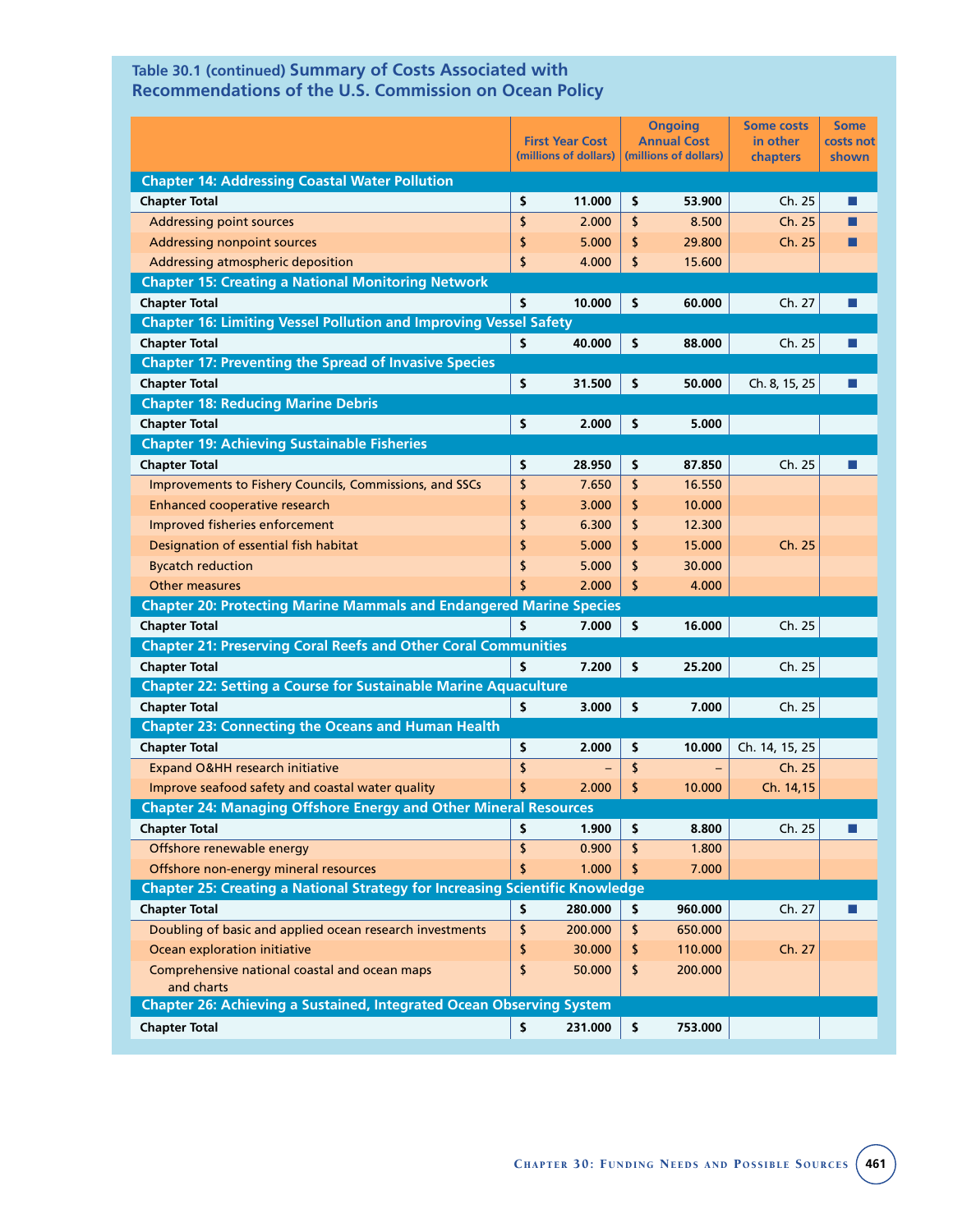#### **Table 30.1 (continued) Summary of Costs Associated with Recommendations of the U.S. Commission on Ocean Policy**

|                                                                                     |    |                                                 | <b>Ongoing</b> |                                             | <b>Some costs</b>    | <b>Some</b>        |
|-------------------------------------------------------------------------------------|----|-------------------------------------------------|----------------|---------------------------------------------|----------------------|--------------------|
|                                                                                     |    | <b>First Year Cost</b><br>(millions of dollars) |                | <b>Annual Cost</b><br>(millions of dollars) | in other<br>chapters | costs not<br>shown |
|                                                                                     |    |                                                 |                |                                             |                      |                    |
| <b>Chapter 14: Addressing Coastal Water Pollution</b>                               |    |                                                 |                |                                             |                      |                    |
| <b>Chapter Total</b>                                                                | \$ | 11.000                                          | \$             | 53.900                                      | Ch. 25               | ш                  |
| <b>Addressing point sources</b>                                                     | \$ | 2.000                                           | \$             | 8.500                                       | Ch. 25               | П                  |
| Addressing nonpoint sources                                                         | \$ | 5.000                                           | \$             | 29.800                                      | Ch. 25               | П                  |
| Addressing atmospheric deposition                                                   | \$ | 4.000                                           | \$             | 15.600                                      |                      |                    |
| <b>Chapter 15: Creating a National Monitoring Network</b>                           |    |                                                 |                |                                             |                      |                    |
| <b>Chapter Total</b>                                                                | \$ | 10.000                                          | \$             | 60.000                                      | Ch. 27               |                    |
| <b>Chapter 16: Limiting Vessel Pollution and Improving Vessel Safety</b>            |    |                                                 |                |                                             |                      |                    |
| <b>Chapter Total</b>                                                                | \$ | 40.000                                          | \$             | 88.000                                      | Ch. 25               | <b>COL</b>         |
| <b>Chapter 17: Preventing the Spread of Invasive Species</b>                        |    |                                                 |                |                                             |                      |                    |
| <b>Chapter Total</b>                                                                | \$ | 31.500                                          | \$             | 50.000                                      | Ch. 8, 15, 25        | п                  |
| <b>Chapter 18: Reducing Marine Debris</b>                                           |    |                                                 |                |                                             |                      |                    |
| <b>Chapter Total</b>                                                                | \$ | 2.000                                           | \$             | 5.000                                       |                      |                    |
| <b>Chapter 19: Achieving Sustainable Fisheries</b>                                  |    |                                                 |                |                                             |                      |                    |
| <b>Chapter Total</b>                                                                | \$ | 28.950                                          | \$             | 87.850                                      | Ch. 25               |                    |
| Improvements to Fishery Councils, Commissions, and SSCs                             | \$ | 7.650                                           | \$             | 16.550                                      |                      |                    |
| Enhanced cooperative research                                                       | \$ | 3.000                                           | \$             | 10.000                                      |                      |                    |
| Improved fisheries enforcement                                                      | \$ | 6.300                                           | \$             | 12.300                                      |                      |                    |
| Designation of essential fish habitat                                               | \$ | 5.000                                           | \$             | 15.000                                      | Ch. 25               |                    |
| <b>Bycatch reduction</b>                                                            | \$ | 5.000                                           | \$             | 30.000                                      |                      |                    |
| <b>Other measures</b>                                                               |    | 2.000                                           | \$             | 4.000                                       |                      |                    |
| <b>Chapter 20: Protecting Marine Mammals and Endangered Marine Species</b>          |    |                                                 |                |                                             |                      |                    |
| <b>Chapter Total</b>                                                                | \$ | 7.000                                           | \$             | 16.000                                      | Ch. 25               |                    |
| <b>Chapter 21: Preserving Coral Reefs and Other Coral Communities</b>               |    |                                                 |                |                                             |                      |                    |
| <b>Chapter Total</b>                                                                | \$ | 7.200                                           | \$             | 25.200                                      | Ch. 25               |                    |
| <b>Chapter 22: Setting a Course for Sustainable Marine Aquaculture</b>              |    |                                                 |                |                                             |                      |                    |
| <b>Chapter Total</b>                                                                | \$ | 3.000                                           | \$             | 7.000                                       | Ch. 25               |                    |
| <b>Chapter 23: Connecting the Oceans and Human Health</b>                           |    |                                                 |                |                                             |                      |                    |
| <b>Chapter Total</b>                                                                | \$ | 2.000                                           | \$             | 10.000                                      | Ch. 14, 15, 25       |                    |
| Expand O&HH research initiative                                                     | \$ |                                                 | \$             |                                             | Ch. 25               |                    |
| Improve seafood safety and coastal water quality                                    |    | 2.000                                           | \$             | 10.000                                      | Ch. 14,15            |                    |
| <b>Chapter 24: Managing Offshore Energy and Other Mineral Resources</b>             |    |                                                 |                |                                             |                      |                    |
| <b>Chapter Total</b>                                                                | \$ | 1.900                                           | \$             | 8.800                                       | Ch. 25               |                    |
| Offshore renewable energy                                                           | \$ | 0.900                                           | \$             | 1.800                                       |                      |                    |
| Offshore non-energy mineral resources                                               | \$ | 1.000                                           | \$             | 7.000                                       |                      |                    |
| <b>Chapter 25: Creating a National Strategy for Increasing Scientific Knowledge</b> |    |                                                 |                |                                             |                      |                    |
| <b>Chapter Total</b>                                                                | \$ | 280.000                                         | \$             | 960.000                                     | Ch. 27               |                    |
| Doubling of basic and applied ocean research investments                            | \$ | 200.000                                         | \$             | 650.000                                     |                      |                    |
| Ocean exploration initiative                                                        | \$ | 30.000                                          | \$             | 110.000                                     | Ch. 27               |                    |
| Comprehensive national coastal and ocean maps<br>and charts                         | \$ | 50.000                                          | \$             | 200.000                                     |                      |                    |
| <b>Chapter 26: Achieving a Sustained, Integrated Ocean Observing System</b>         |    |                                                 |                |                                             |                      |                    |
| <b>Chapter Total</b>                                                                | \$ | 231.000                                         | \$             | 753.000                                     |                      |                    |
|                                                                                     |    |                                                 |                |                                             |                      |                    |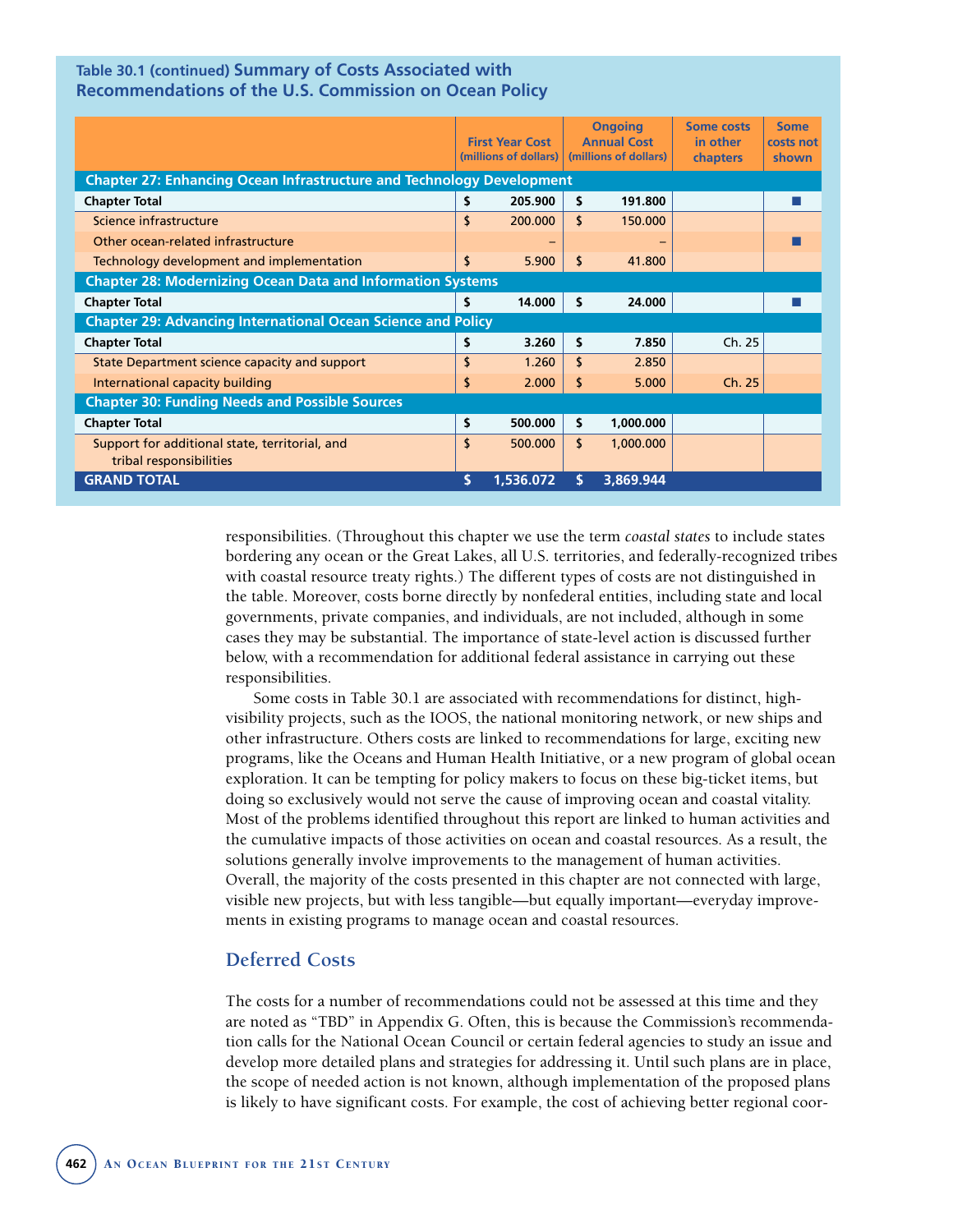#### **Table 30.1 (continued) Summary of Costs Associated with Recommendations of the U.S. Commission on Ocean Policy**

|                                                                              | <b>First Year Cost</b><br>(millions of dollars) |           | <b>Ongoing</b><br><b>Annual Cost</b><br>(millions of dollars) |           | <b>Some costs</b><br>in other<br>chapters | <b>Some</b><br>costs not<br>shown |  |  |  |
|------------------------------------------------------------------------------|-------------------------------------------------|-----------|---------------------------------------------------------------|-----------|-------------------------------------------|-----------------------------------|--|--|--|
| <b>Chapter 27: Enhancing Ocean Infrastructure and Technology Development</b> |                                                 |           |                                                               |           |                                           |                                   |  |  |  |
| <b>Chapter Total</b>                                                         | s                                               | 205.900   | \$                                                            | 191.800   |                                           |                                   |  |  |  |
| Science infrastructure                                                       | \$                                              | 200.000   | \$                                                            | 150,000   |                                           |                                   |  |  |  |
| Other ocean-related infrastructure                                           |                                                 |           |                                                               |           |                                           |                                   |  |  |  |
| Technology development and implementation                                    | \$                                              | 5.900     | \$                                                            | 41.800    |                                           |                                   |  |  |  |
| <b>Chapter 28: Modernizing Ocean Data and Information Systems</b>            |                                                 |           |                                                               |           |                                           |                                   |  |  |  |
| <b>Chapter Total</b>                                                         | \$                                              | 14.000    | \$                                                            | 24,000    |                                           |                                   |  |  |  |
| <b>Chapter 29: Advancing International Ocean Science and Policy</b>          |                                                 |           |                                                               |           |                                           |                                   |  |  |  |
| <b>Chapter Total</b>                                                         | \$                                              | 3.260     | \$                                                            | 7.850     | Ch. 25                                    |                                   |  |  |  |
| State Department science capacity and support                                | \$                                              | 1.260     | \$                                                            | 2.850     |                                           |                                   |  |  |  |
| International capacity building                                              | S                                               | 2.000     | \$                                                            | 5.000     | Ch. 25                                    |                                   |  |  |  |
| <b>Chapter 30: Funding Needs and Possible Sources</b>                        |                                                 |           |                                                               |           |                                           |                                   |  |  |  |
| <b>Chapter Total</b>                                                         | \$                                              | 500.000   | \$                                                            | 1,000.000 |                                           |                                   |  |  |  |
| Support for additional state, territorial, and<br>tribal responsibilities    | \$                                              | 500.000   | \$                                                            | 1,000.000 |                                           |                                   |  |  |  |
| <b>GRAND TOTAL</b>                                                           |                                                 | 1,536.072 | \$                                                            | 3,869.944 |                                           |                                   |  |  |  |

responsibilities. (Throughout this chapter we use the term *coastal states* to include states bordering any ocean or the Great Lakes, all U.S. territories, and federally-recognized tribes with coastal resource treaty rights.) The different types of costs are not distinguished in the table. Moreover, costs borne directly by nonfederal entities, including state and local governments, private companies, and individuals, are not included, although in some cases they may be substantial. The importance of state-level action is discussed further below, with a recommendation for additional federal assistance in carrying out these responsibilities.

Some costs in Table 30.1 are associated with recommendations for distinct, highvisibility projects, such as the IOOS, the national monitoring network, or new ships and other infrastructure. Others costs are linked to recommendations for large, exciting new programs, like the Oceans and Human Health Initiative, or a new program of global ocean exploration. It can be tempting for policy makers to focus on these big-ticket items, but doing so exclusively would not serve the cause of improving ocean and coastal vitality. Most of the problems identified throughout this report are linked to human activities and the cumulative impacts of those activities on ocean and coastal resources. As a result, the solutions generally involve improvements to the management of human activities. Overall, the majority of the costs presented in this chapter are not connected with large, visible new projects, but with less tangible—but equally important—everyday improvements in existing programs to manage ocean and coastal resources.

#### **Deferred Costs**

The costs for a number of recommendations could not be assessed at this time and they are noted as "TBD" in Appendix G. Often, this is because the Commission's recommendation calls for the National Ocean Council or certain federal agencies to study an issue and develop more detailed plans and strategies for addressing it. Until such plans are in place, the scope of needed action is not known, although implementation of the proposed plans is likely to have significant costs. For example, the cost of achieving better regional coor-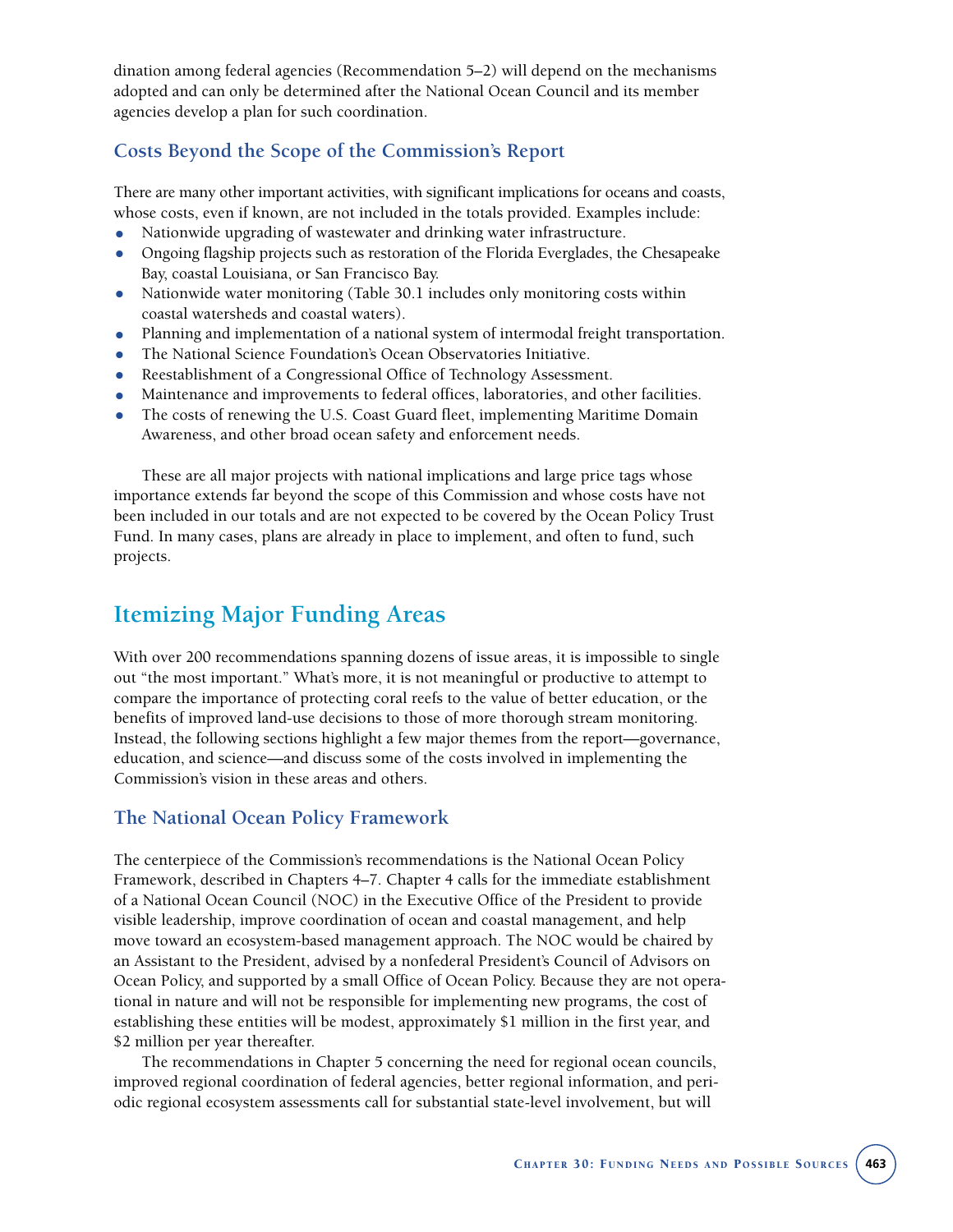dination among federal agencies (Recommendation 5–2) will depend on the mechanisms adopted and can only be determined after the National Ocean Council and its member agencies develop a plan for such coordination.

#### **Costs Beyond the Scope of the Commission's Report**

There are many other important activities, with significant implications for oceans and coasts, whose costs, even if known, are not included in the totals provided. Examples include:

- Nationwide upgrading of wastewater and drinking water infrastructure.
- Ongoing flagship projects such as restoration of the Florida Everglades, the Chesapeake Bay, coastal Louisiana, or San Francisco Bay.
- Nationwide water monitoring (Table 30.1 includes only monitoring costs within coastal watersheds and coastal waters).
- Planning and implementation of a national system of intermodal freight transportation.
- The National Science Foundation's Ocean Observatories Initiative.
- Reestablishment of a Congressional Office of Technology Assessment.
- Maintenance and improvements to federal offices, laboratories, and other facilities.<br>• The costs of renewing the U.S. Coast Guard fleet. implementing Maritime Domain
- The costs of renewing the U.S. Coast Guard fleet, implementing Maritime Domain Awareness, and other broad ocean safety and enforcement needs.

These are all major projects with national implications and large price tags whose importance extends far beyond the scope of this Commission and whose costs have not been included in our totals and are not expected to be covered by the Ocean Policy Trust Fund. In many cases, plans are already in place to implement, and often to fund, such projects.

## **Itemizing Major Funding Areas**

With over 200 recommendations spanning dozens of issue areas, it is impossible to single out "the most important." What's more, it is not meaningful or productive to attempt to compare the importance of protecting coral reefs to the value of better education, or the benefits of improved land-use decisions to those of more thorough stream monitoring. Instead, the following sections highlight a few major themes from the report—governance, education, and science—and discuss some of the costs involved in implementing the Commission's vision in these areas and others.

#### **The National Ocean Policy Framework**

The centerpiece of the Commission's recommendations is the National Ocean Policy Framework, described in Chapters 4–7. Chapter 4 calls for the immediate establishment of a National Ocean Council (NOC) in the Executive Office of the President to provide visible leadership, improve coordination of ocean and coastal management, and help move toward an ecosystem-based management approach. The NOC would be chaired by an Assistant to the President, advised by a nonfederal President's Council of Advisors on Ocean Policy, and supported by a small Office of Ocean Policy. Because they are not operational in nature and will not be responsible for implementing new programs, the cost of establishing these entities will be modest, approximately \$1 million in the first year, and \$2 million per year thereafter.

The recommendations in Chapter 5 concerning the need for regional ocean councils, improved regional coordination of federal agencies, better regional information, and periodic regional ecosystem assessments call for substantial state-level involvement, but will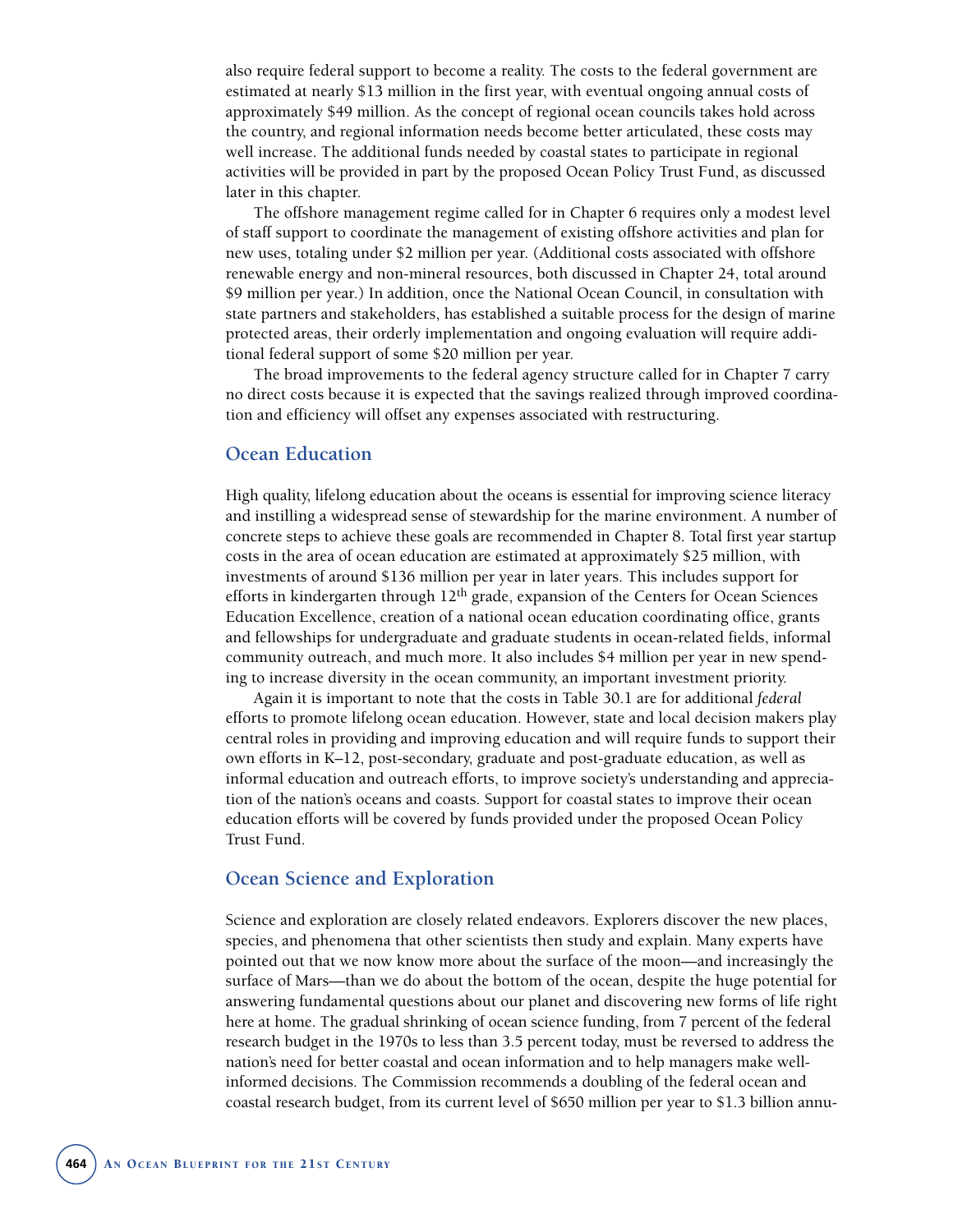also require federal support to become a reality. The costs to the federal government are estimated at nearly \$13 million in the first year, with eventual ongoing annual costs of approximately \$49 million. As the concept of regional ocean councils takes hold across the country, and regional information needs become better articulated, these costs may well increase. The additional funds needed by coastal states to participate in regional activities will be provided in part by the proposed Ocean Policy Trust Fund, as discussed later in this chapter.

The offshore management regime called for in Chapter 6 requires only a modest level of staff support to coordinate the management of existing offshore activities and plan for new uses, totaling under \$2 million per year. (Additional costs associated with offshore renewable energy and non-mineral resources, both discussed in Chapter 24, total around \$9 million per year.) In addition, once the National Ocean Council, in consultation with state partners and stakeholders, has established a suitable process for the design of marine protected areas, their orderly implementation and ongoing evaluation will require additional federal support of some \$20 million per year.

The broad improvements to the federal agency structure called for in Chapter 7 carry no direct costs because it is expected that the savings realized through improved coordination and efficiency will offset any expenses associated with restructuring.

#### **Ocean Education**

High quality, lifelong education about the oceans is essential for improving science literacy and instilling a widespread sense of stewardship for the marine environment. A number of concrete steps to achieve these goals are recommended in Chapter 8. Total first year startup costs in the area of ocean education are estimated at approximately \$25 million, with investments of around \$136 million per year in later years. This includes support for efforts in kindergarten through  $12<sup>th</sup>$  grade, expansion of the Centers for Ocean Sciences Education Excellence, creation of a national ocean education coordinating office, grants and fellowships for undergraduate and graduate students in ocean-related fields, informal community outreach, and much more. It also includes \$4 million per year in new spending to increase diversity in the ocean community, an important investment priority.

Again it is important to note that the costs in Table 30.1 are for additional *federal* efforts to promote lifelong ocean education. However, state and local decision makers play central roles in providing and improving education and will require funds to support their own efforts in K–12, post-secondary, graduate and post-graduate education, as well as informal education and outreach efforts, to improve society's understanding and appreciation of the nation's oceans and coasts. Support for coastal states to improve their ocean education efforts will be covered by funds provided under the proposed Ocean Policy Trust Fund.

#### **Ocean Science and Exploration**

Science and exploration are closely related endeavors. Explorers discover the new places, species, and phenomena that other scientists then study and explain. Many experts have pointed out that we now know more about the surface of the moon—and increasingly the surface of Mars—than we do about the bottom of the ocean, despite the huge potential for answering fundamental questions about our planet and discovering new forms of life right here at home. The gradual shrinking of ocean science funding, from 7 percent of the federal research budget in the 1970s to less than 3.5 percent today, must be reversed to address the nation's need for better coastal and ocean information and to help managers make wellinformed decisions. The Commission recommends a doubling of the federal ocean and coastal research budget, from its current level of \$650 million per year to \$1.3 billion annu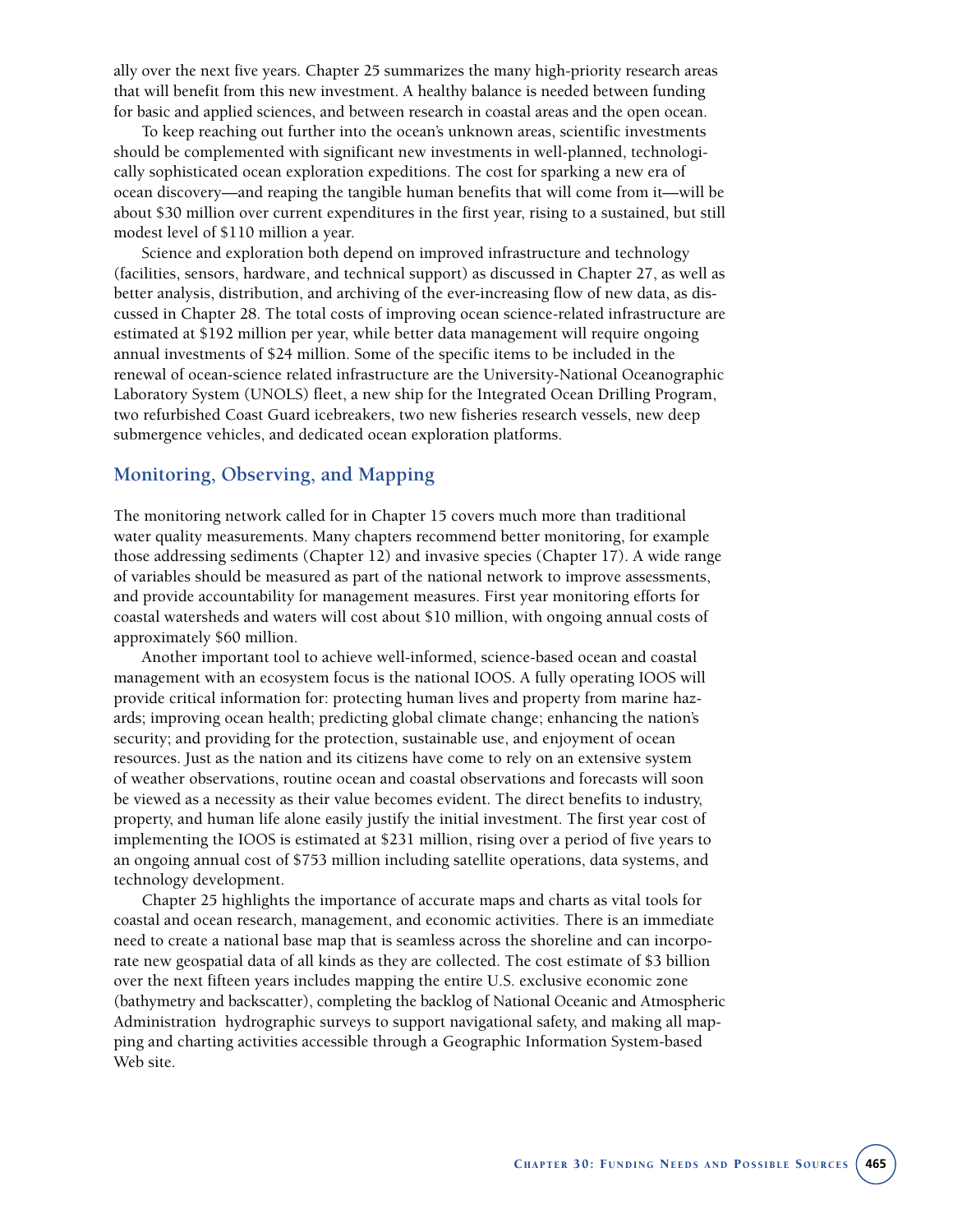ally over the next five years. Chapter 25 summarizes the many high-priority research areas that will benefit from this new investment. A healthy balance is needed between funding for basic and applied sciences, and between research in coastal areas and the open ocean.

To keep reaching out further into the ocean's unknown areas, scientific investments should be complemented with significant new investments in well-planned, technologically sophisticated ocean exploration expeditions. The cost for sparking a new era of ocean discovery—and reaping the tangible human benefits that will come from it—will be about \$30 million over current expenditures in the first year, rising to a sustained, but still modest level of \$110 million a year.

Science and exploration both depend on improved infrastructure and technology (facilities, sensors, hardware, and technical support) as discussed in Chapter 27, as well as better analysis, distribution, and archiving of the ever-increasing flow of new data, as discussed in Chapter 28. The total costs of improving ocean science-related infrastructure are estimated at \$192 million per year, while better data management will require ongoing annual investments of \$24 million. Some of the specific items to be included in the renewal of ocean-science related infrastructure are the University-National Oceanographic Laboratory System (UNOLS) fleet, a new ship for the Integrated Ocean Drilling Program, two refurbished Coast Guard icebreakers, two new fisheries research vessels, new deep submergence vehicles, and dedicated ocean exploration platforms.

#### **Monitoring, Observing, and Mapping**

The monitoring network called for in Chapter 15 covers much more than traditional water quality measurements. Many chapters recommend better monitoring, for example those addressing sediments (Chapter 12) and invasive species (Chapter 17). A wide range of variables should be measured as part of the national network to improve assessments, and provide accountability for management measures. First year monitoring efforts for coastal watersheds and waters will cost about \$10 million, with ongoing annual costs of approximately \$60 million.

Another important tool to achieve well-informed, science-based ocean and coastal management with an ecosystem focus is the national IOOS. A fully operating IOOS will provide critical information for: protecting human lives and property from marine hazards; improving ocean health; predicting global climate change; enhancing the nation's security; and providing for the protection, sustainable use, and enjoyment of ocean resources. Just as the nation and its citizens have come to rely on an extensive system of weather observations, routine ocean and coastal observations and forecasts will soon be viewed as a necessity as their value becomes evident. The direct benefits to industry, property, and human life alone easily justify the initial investment. The first year cost of implementing the IOOS is estimated at \$231 million, rising over a period of five years to an ongoing annual cost of \$753 million including satellite operations, data systems, and technology development.

Chapter 25 highlights the importance of accurate maps and charts as vital tools for coastal and ocean research, management, and economic activities. There is an immediate need to create a national base map that is seamless across the shoreline and can incorporate new geospatial data of all kinds as they are collected. The cost estimate of \$3 billion over the next fifteen years includes mapping the entire U.S. exclusive economic zone (bathymetry and backscatter), completing the backlog of National Oceanic and Atmospheric Administration hydrographic surveys to support navigational safety, and making all mapping and charting activities accessible through a Geographic Information System-based Web site.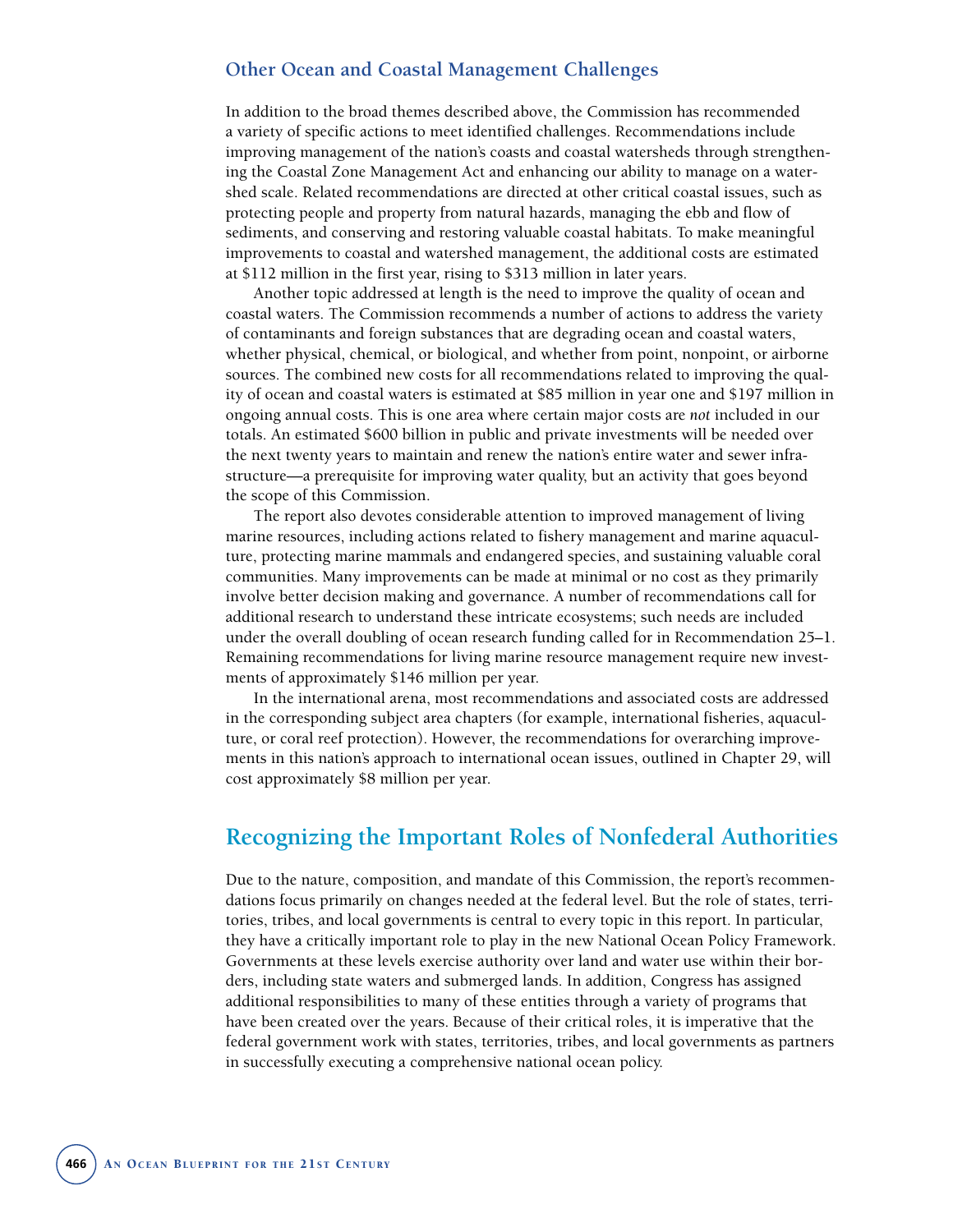#### **Other Ocean and Coastal Management Challenges**

In addition to the broad themes described above, the Commission has recommended a variety of specific actions to meet identified challenges. Recommendations include improving management of the nation's coasts and coastal watersheds through strengthening the Coastal Zone Management Act and enhancing our ability to manage on a watershed scale. Related recommendations are directed at other critical coastal issues, such as protecting people and property from natural hazards, managing the ebb and flow of sediments, and conserving and restoring valuable coastal habitats. To make meaningful improvements to coastal and watershed management, the additional costs are estimated at \$112 million in the first year, rising to \$313 million in later years.

Another topic addressed at length is the need to improve the quality of ocean and coastal waters. The Commission recommends a number of actions to address the variety of contaminants and foreign substances that are degrading ocean and coastal waters, whether physical, chemical, or biological, and whether from point, nonpoint, or airborne sources. The combined new costs for all recommendations related to improving the quality of ocean and coastal waters is estimated at \$85 million in year one and \$197 million in ongoing annual costs. This is one area where certain major costs are *not* included in our totals. An estimated \$600 billion in public and private investments will be needed over the next twenty years to maintain and renew the nation's entire water and sewer infrastructure—a prerequisite for improving water quality, but an activity that goes beyond the scope of this Commission.

The report also devotes considerable attention to improved management of living marine resources, including actions related to fishery management and marine aquaculture, protecting marine mammals and endangered species, and sustaining valuable coral communities. Many improvements can be made at minimal or no cost as they primarily involve better decision making and governance. A number of recommendations call for additional research to understand these intricate ecosystems; such needs are included under the overall doubling of ocean research funding called for in Recommendation 25–1. Remaining recommendations for living marine resource management require new investments of approximately \$146 million per year.

In the international arena, most recommendations and associated costs are addressed in the corresponding subject area chapters (for example, international fisheries, aquaculture, or coral reef protection). However, the recommendations for overarching improvements in this nation's approach to international ocean issues, outlined in Chapter 29, will cost approximately \$8 million per year.

#### **Recognizing the Important Roles of Nonfederal Authorities**

Due to the nature, composition, and mandate of this Commission, the report's recommendations focus primarily on changes needed at the federal level. But the role of states, territories, tribes, and local governments is central to every topic in this report. In particular, they have a critically important role to play in the new National Ocean Policy Framework. Governments at these levels exercise authority over land and water use within their borders, including state waters and submerged lands. In addition, Congress has assigned additional responsibilities to many of these entities through a variety of programs that have been created over the years. Because of their critical roles, it is imperative that the federal government work with states, territories, tribes, and local governments as partners in successfully executing a comprehensive national ocean policy.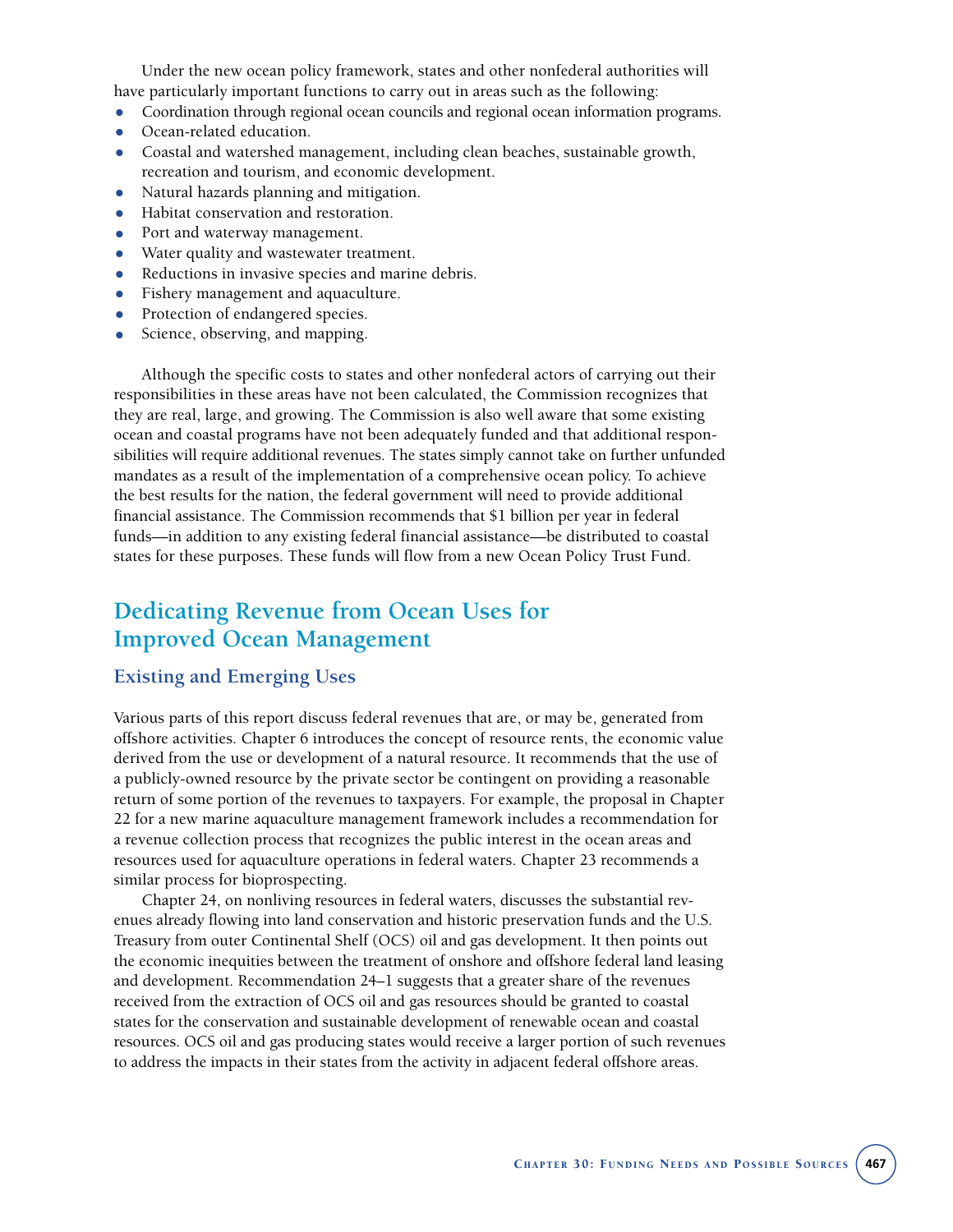Under the new ocean policy framework, states and other nonfederal authorities will have particularly important functions to carry out in areas such as the following:

- Coordination through regional ocean councils and regional ocean information programs.<br>• Ocean-related education
- Ocean-related education.
- Coastal and watershed management, including clean beaches, sustainable growth, recreation and tourism, and economic development.
- Natural hazards planning and mitigation.
- Habitat conservation and restoration.
- Port and waterway management.
- Water quality and wastewater treatment.
- Reductions in invasive species and marine debris.
- Fishery management and aquaculture.
- Protection of endangered species.
- Science, observing, and mapping.

Although the specific costs to states and other nonfederal actors of carrying out their responsibilities in these areas have not been calculated, the Commission recognizes that they are real, large, and growing. The Commission is also well aware that some existing ocean and coastal programs have not been adequately funded and that additional responsibilities will require additional revenues. The states simply cannot take on further unfunded mandates as a result of the implementation of a comprehensive ocean policy. To achieve the best results for the nation, the federal government will need to provide additional financial assistance. The Commission recommends that \$1 billion per year in federal funds—in addition to any existing federal financial assistance—be distributed to coastal states for these purposes. These funds will flow from a new Ocean Policy Trust Fund.

## **Dedicating Revenue from Ocean Uses for Improved Ocean Management**

#### **Existing and Emerging Uses**

Various parts of this report discuss federal revenues that are, or may be, generated from offshore activities. Chapter 6 introduces the concept of resource rents, the economic value derived from the use or development of a natural resource. It recommends that the use of a publicly-owned resource by the private sector be contingent on providing a reasonable return of some portion of the revenues to taxpayers. For example, the proposal in Chapter 22 for a new marine aquaculture management framework includes a recommendation for a revenue collection process that recognizes the public interest in the ocean areas and resources used for aquaculture operations in federal waters. Chapter 23 recommends a similar process for bioprospecting.

Chapter 24, on nonliving resources in federal waters, discusses the substantial revenues already flowing into land conservation and historic preservation funds and the U.S. Treasury from outer Continental Shelf (OCS) oil and gas development. It then points out the economic inequities between the treatment of onshore and offshore federal land leasing and development. Recommendation 24–1 suggests that a greater share of the revenues received from the extraction of OCS oil and gas resources should be granted to coastal states for the conservation and sustainable development of renewable ocean and coastal resources. OCS oil and gas producing states would receive a larger portion of such revenues to address the impacts in their states from the activity in adjacent federal offshore areas.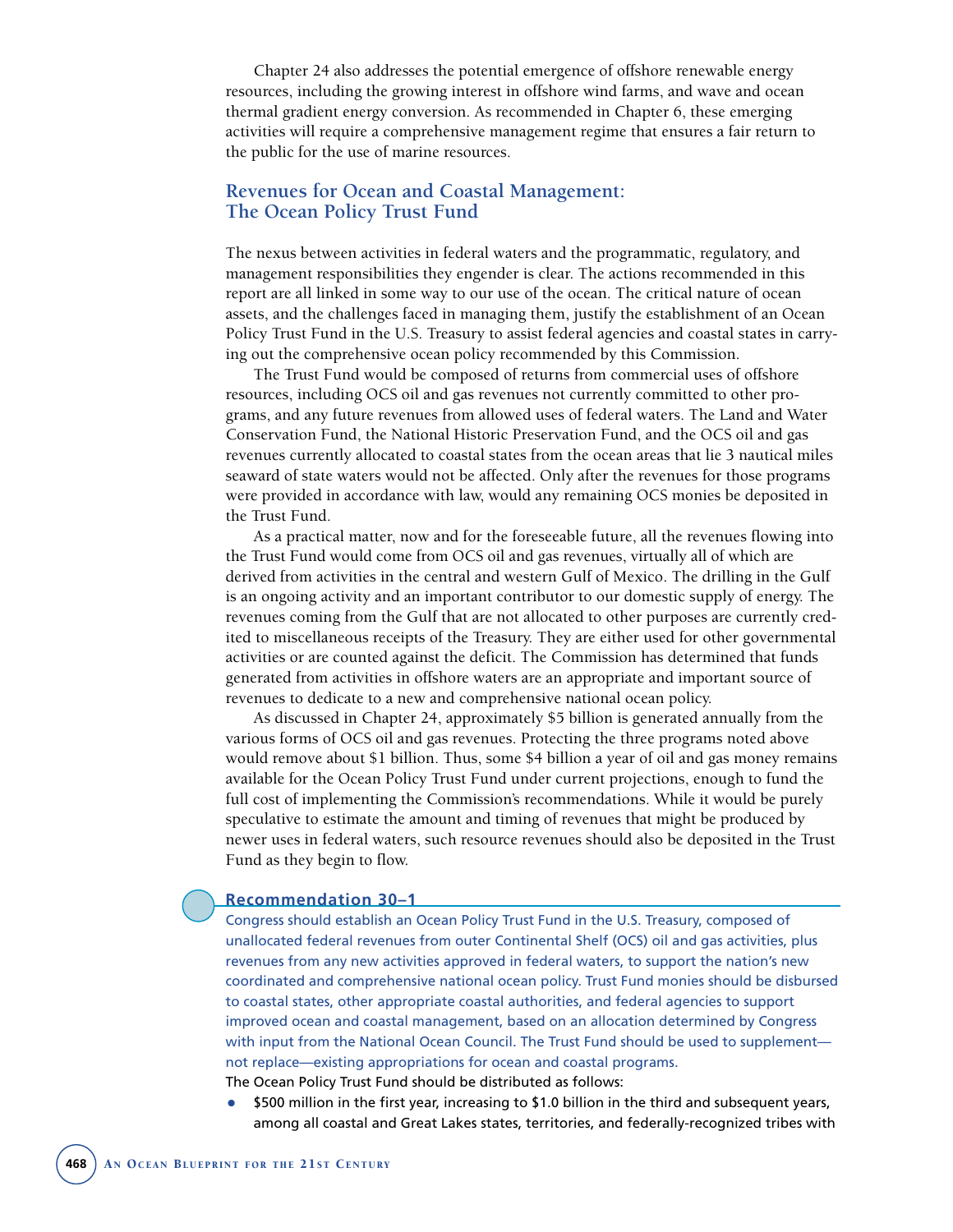Chapter 24 also addresses the potential emergence of offshore renewable energy resources, including the growing interest in offshore wind farms, and wave and ocean thermal gradient energy conversion. As recommended in Chapter 6, these emerging activities will require a comprehensive management regime that ensures a fair return to the public for the use of marine resources.

#### **Revenues for Ocean and Coastal Management: The Ocean Policy Trust Fund**

The nexus between activities in federal waters and the programmatic, regulatory, and management responsibilities they engender is clear. The actions recommended in this report are all linked in some way to our use of the ocean. The critical nature of ocean assets, and the challenges faced in managing them, justify the establishment of an Ocean Policy Trust Fund in the U.S. Treasury to assist federal agencies and coastal states in carrying out the comprehensive ocean policy recommended by this Commission.

The Trust Fund would be composed of returns from commercial uses of offshore resources, including OCS oil and gas revenues not currently committed to other programs, and any future revenues from allowed uses of federal waters. The Land and Water Conservation Fund, the National Historic Preservation Fund, and the OCS oil and gas revenues currently allocated to coastal states from the ocean areas that lie 3 nautical miles seaward of state waters would not be affected. Only after the revenues for those programs were provided in accordance with law, would any remaining OCS monies be deposited in the Trust Fund.

As a practical matter, now and for the foreseeable future, all the revenues flowing into the Trust Fund would come from OCS oil and gas revenues, virtually all of which are derived from activities in the central and western Gulf of Mexico. The drilling in the Gulf is an ongoing activity and an important contributor to our domestic supply of energy. The revenues coming from the Gulf that are not allocated to other purposes are currently credited to miscellaneous receipts of the Treasury. They are either used for other governmental activities or are counted against the deficit. The Commission has determined that funds generated from activities in offshore waters are an appropriate and important source of revenues to dedicate to a new and comprehensive national ocean policy.

As discussed in Chapter 24, approximately \$5 billion is generated annually from the various forms of OCS oil and gas revenues. Protecting the three programs noted above would remove about \$1 billion. Thus, some \$4 billion a year of oil and gas money remains available for the Ocean Policy Trust Fund under current projections, enough to fund the full cost of implementing the Commission's recommendations. While it would be purely speculative to estimate the amount and timing of revenues that might be produced by newer uses in federal waters, such resource revenues should also be deposited in the Trust Fund as they begin to flow.

#### **Recommendation 30–1**

Congress should establish an Ocean Policy Trust Fund in the U.S. Treasury, composed of unallocated federal revenues from outer Continental Shelf (OCS) oil and gas activities, plus revenues from any new activities approved in federal waters, to support the nation's new coordinated and comprehensive national ocean policy. Trust Fund monies should be disbursed to coastal states, other appropriate coastal authorities, and federal agencies to support improved ocean and coastal management, based on an allocation determined by Congress with input from the National Ocean Council. The Trust Fund should be used to supplement not replace—existing appropriations for ocean and coastal programs.

The Ocean Policy Trust Fund should be distributed as follows:

• \$500 million in the first year, increasing to \$1.0 billion in the third and subsequent years, among all coastal and Great Lakes states, territories, and federally-recognized tribes with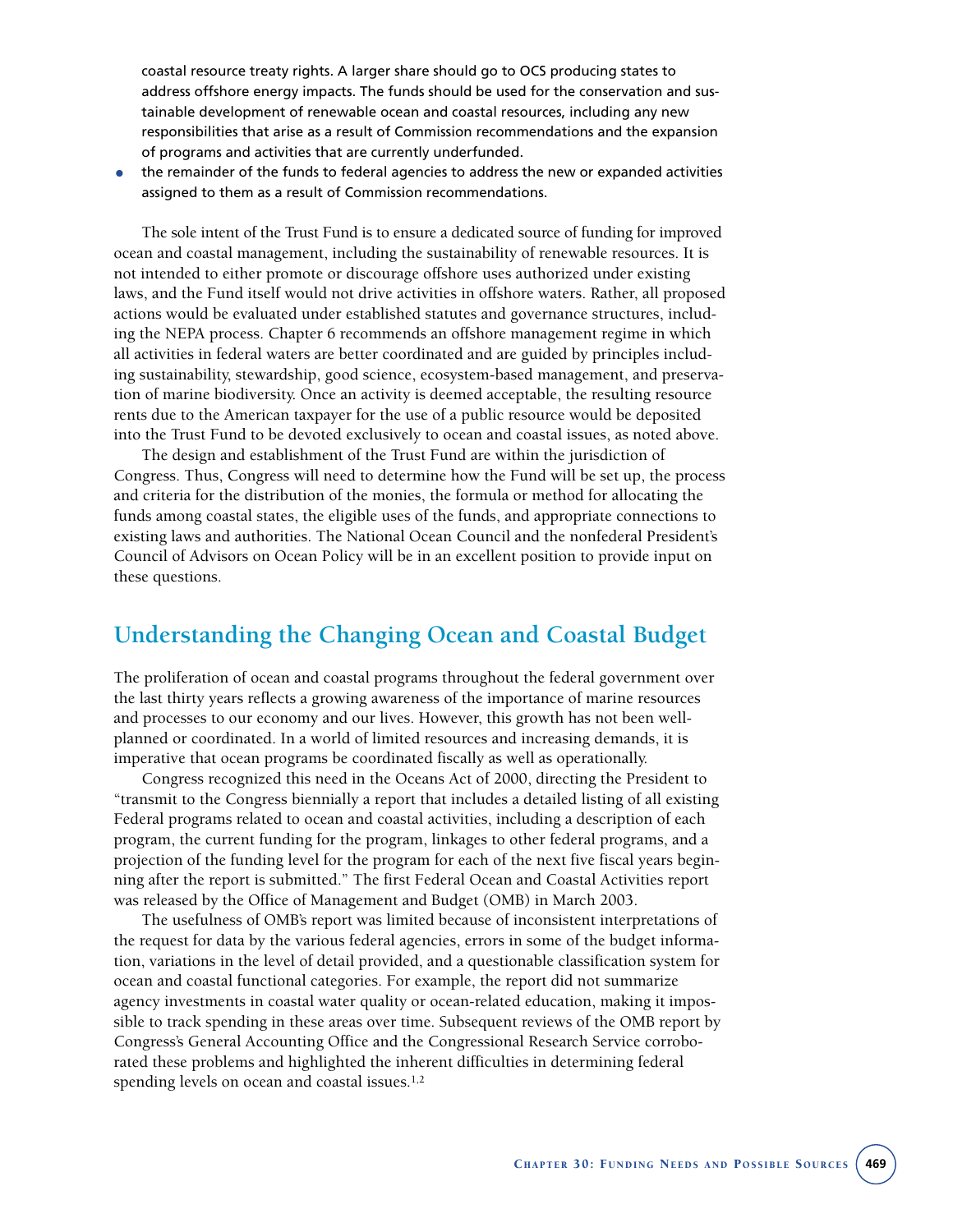coastal resource treaty rights. A larger share should go to OCS producing states to address offshore energy impacts. The funds should be used for the conservation and sustainable development of renewable ocean and coastal resources, including any new responsibilities that arise as a result of Commission recommendations and the expansion of programs and activities that are currently underfunded.

• the remainder of the funds to federal agencies to address the new or expanded activities assigned to them as a result of Commission recommendations.

The sole intent of the Trust Fund is to ensure a dedicated source of funding for improved ocean and coastal management, including the sustainability of renewable resources. It is not intended to either promote or discourage offshore uses authorized under existing laws, and the Fund itself would not drive activities in offshore waters. Rather, all proposed actions would be evaluated under established statutes and governance structures, including the NEPA process. Chapter 6 recommends an offshore management regime in which all activities in federal waters are better coordinated and are guided by principles including sustainability, stewardship, good science, ecosystem-based management, and preservation of marine biodiversity. Once an activity is deemed acceptable, the resulting resource rents due to the American taxpayer for the use of a public resource would be deposited into the Trust Fund to be devoted exclusively to ocean and coastal issues, as noted above.

The design and establishment of the Trust Fund are within the jurisdiction of Congress. Thus, Congress will need to determine how the Fund will be set up, the process and criteria for the distribution of the monies, the formula or method for allocating the funds among coastal states, the eligible uses of the funds, and appropriate connections to existing laws and authorities. The National Ocean Council and the nonfederal President's Council of Advisors on Ocean Policy will be in an excellent position to provide input on these questions.

### **Understanding the Changing Ocean and Coastal Budget**

The proliferation of ocean and coastal programs throughout the federal government over the last thirty years reflects a growing awareness of the importance of marine resources and processes to our economy and our lives. However, this growth has not been wellplanned or coordinated. In a world of limited resources and increasing demands, it is imperative that ocean programs be coordinated fiscally as well as operationally.

Congress recognized this need in the Oceans Act of 2000, directing the President to "transmit to the Congress biennially a report that includes a detailed listing of all existing Federal programs related to ocean and coastal activities, including a description of each program, the current funding for the program, linkages to other federal programs, and a projection of the funding level for the program for each of the next five fiscal years beginning after the report is submitted." The first Federal Ocean and Coastal Activities report was released by the Office of Management and Budget (OMB) in March 2003.

The usefulness of OMB's report was limited because of inconsistent interpretations of the request for data by the various federal agencies, errors in some of the budget information, variations in the level of detail provided, and a questionable classification system for ocean and coastal functional categories. For example, the report did not summarize agency investments in coastal water quality or ocean-related education, making it impossible to track spending in these areas over time. Subsequent reviews of the OMB report by Congress's General Accounting Office and the Congressional Research Service corroborated these problems and highlighted the inherent difficulties in determining federal spending levels on ocean and coastal issues. $1,2$